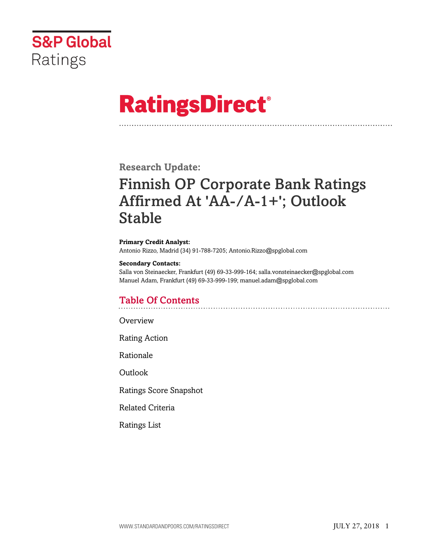

# **RatingsDirect®**

**Research Update:**

## Finnish OP Corporate Bank Ratings Affirmed At 'AA-/A-1+'; Outlook Stable

**Primary Credit Analyst:** Antonio Rizzo, Madrid (34) 91-788-7205; Antonio.Rizzo@spglobal.com

#### **Secondary Contacts:**

Salla von Steinaecker, Frankfurt (49) 69-33-999-164; salla.vonsteinaecker@spglobal.com Manuel Adam, Frankfurt (49) 69-33-999-199; manuel.adam@spglobal.com

### Table Of Contents

[Overview](#page-1-0)

[Rating Action](#page-1-1)

[Rationale](#page-1-2)

[Outlook](#page-3-0)

[Ratings Score Snapshot](#page-3-1)

[Related Criteria](#page-4-0)

[Ratings List](#page-4-1)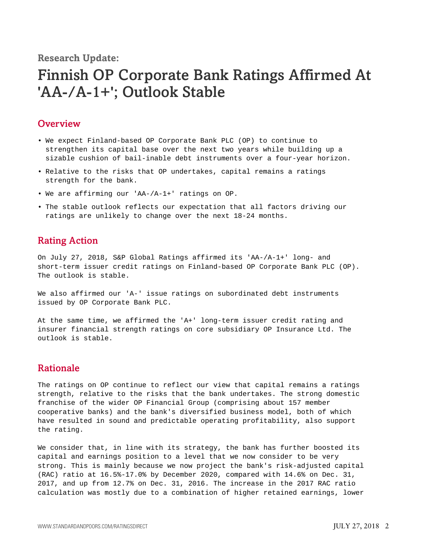**Research Update:**

## Finnish OP Corporate Bank Ratings Affirmed At 'AA-/A-1+'; Outlook Stable

#### <span id="page-1-0"></span>**Overview**

- We expect Finland-based OP Corporate Bank PLC (OP) to continue to strengthen its capital base over the next two years while building up a sizable cushion of bail-inable debt instruments over a four-year horizon.
- Relative to the risks that OP undertakes, capital remains a ratings strength for the bank.
- We are affirming our 'AA-/A-1+' ratings on OP.
- The stable outlook reflects our expectation that all factors driving our ratings are unlikely to change over the next 18-24 months.

#### <span id="page-1-1"></span>Rating Action

On July 27, 2018, S&P Global Ratings affirmed its 'AA-/A-1+' long- and short-term issuer credit ratings on Finland-based OP Corporate Bank PLC (OP). The outlook is stable.

We also affirmed our 'A-' issue ratings on subordinated debt instruments issued by OP Corporate Bank PLC.

At the same time, we affirmed the 'A+' long-term issuer credit rating and insurer financial strength ratings on core subsidiary OP Insurance Ltd. The outlook is stable.

#### <span id="page-1-2"></span>Rationale

The ratings on OP continue to reflect our view that capital remains a ratings strength, relative to the risks that the bank undertakes. The strong domestic franchise of the wider OP Financial Group (comprising about 157 member cooperative banks) and the bank's diversified business model, both of which have resulted in sound and predictable operating profitability, also support the rating.

We consider that, in line with its strategy, the bank has further boosted its capital and earnings position to a level that we now consider to be very strong. This is mainly because we now project the bank's risk-adjusted capital (RAC) ratio at 16.5%-17.0% by December 2020, compared with 14.6% on Dec. 31, 2017, and up from 12.7% on Dec. 31, 2016. The increase in the 2017 RAC ratio calculation was mostly due to a combination of higher retained earnings, lower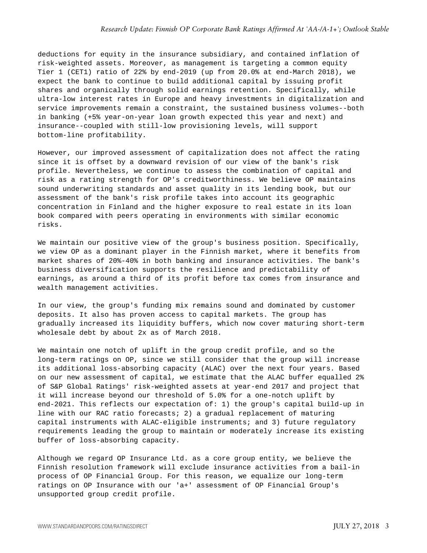deductions for equity in the insurance subsidiary, and contained inflation of risk-weighted assets. Moreover, as management is targeting a common equity Tier 1 (CET1) ratio of 22% by end-2019 (up from 20.0% at end-March 2018), we expect the bank to continue to build additional capital by issuing profit shares and organically through solid earnings retention. Specifically, while ultra-low interest rates in Europe and heavy investments in digitalization and service improvements remain a constraint, the sustained business volumes--both in banking (+5% year-on-year loan growth expected this year and next) and insurance--coupled with still-low provisioning levels, will support bottom-line profitability.

However, our improved assessment of capitalization does not affect the rating since it is offset by a downward revision of our view of the bank's risk profile. Nevertheless, we continue to assess the combination of capital and risk as a rating strength for OP's creditworthiness. We believe OP maintains sound underwriting standards and asset quality in its lending book, but our assessment of the bank's risk profile takes into account its geographic concentration in Finland and the higher exposure to real estate in its loan book compared with peers operating in environments with similar economic risks.

We maintain our positive view of the group's business position. Specifically, we view OP as a dominant player in the Finnish market, where it benefits from market shares of 20%-40% in both banking and insurance activities. The bank's business diversification supports the resilience and predictability of earnings, as around a third of its profit before tax comes from insurance and wealth management activities.

In our view, the group's funding mix remains sound and dominated by customer deposits. It also has proven access to capital markets. The group has gradually increased its liquidity buffers, which now cover maturing short-term wholesale debt by about 2x as of March 2018.

We maintain one notch of uplift in the group credit profile, and so the long-term ratings on OP, since we still consider that the group will increase its additional loss-absorbing capacity (ALAC) over the next four years. Based on our new assessment of capital, we estimate that the ALAC buffer equalled 2% of S&P Global Ratings' risk-weighted assets at year-end 2017 and project that it will increase beyond our threshold of 5.0% for a one-notch uplift by end-2021. This reflects our expectation of: 1) the group's capital build-up in line with our RAC ratio forecasts; 2) a gradual replacement of maturing capital instruments with ALAC-eligible instruments; and 3) future regulatory requirements leading the group to maintain or moderately increase its existing buffer of loss-absorbing capacity.

Although we regard OP Insurance Ltd. as a core group entity, we believe the Finnish resolution framework will exclude insurance activities from a bail-in process of OP Financial Group. For this reason, we equalize our long-term ratings on OP Insurance with our 'a+' assessment of OP Financial Group's unsupported group credit profile.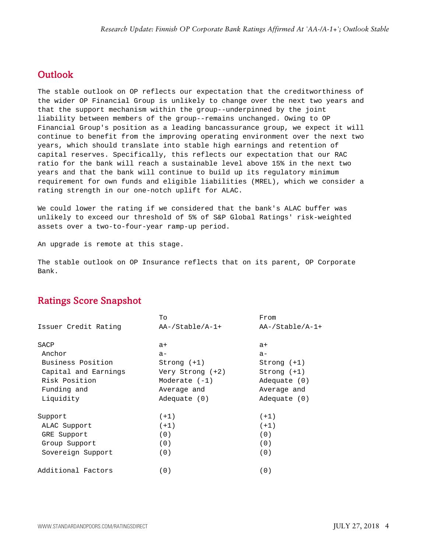#### <span id="page-3-0"></span>**Outlook**

The stable outlook on OP reflects our expectation that the creditworthiness of the wider OP Financial Group is unlikely to change over the next two years and that the support mechanism within the group--underpinned by the joint liability between members of the group--remains unchanged. Owing to OP Financial Group's position as a leading bancassurance group, we expect it will continue to benefit from the improving operating environment over the next two years, which should translate into stable high earnings and retention of capital reserves. Specifically, this reflects our expectation that our RAC ratio for the bank will reach a sustainable level above 15% in the next two years and that the bank will continue to build up its regulatory minimum requirement for own funds and eligible liabilities (MREL), which we consider a rating strength in our one-notch uplift for ALAC.

We could lower the rating if we considered that the bank's ALAC buffer was unlikely to exceed our threshold of 5% of S&P Global Ratings' risk-weighted assets over a two-to-four-year ramp-up period.

An upgrade is remote at this stage.

The stable outlook on OP Insurance reflects that on its parent, OP Corporate Bank.

#### <span id="page-3-1"></span>Ratings Score Snapshot

|                      | To                 | From              |
|----------------------|--------------------|-------------------|
| Issuer Credit Rating | $AA$ -/Stable/A-1+ | $AA-/Stable/A-1+$ |
| SACP                 | $a+$               | $a+$              |
| Anchor               | $a -$              | $a-$              |
| Business Position    | $Strong (+1)$      | $Strong (+1)$     |
| Capital and Earnings | Very Strong (+2)   | $Strong (+1)$     |
| Risk Position        | Moderate $(-1)$    | Adequate $(0)$    |
| Funding and          | Average and        | Average and       |
| Liquidity            | Adequate $(0)$     | Adequate $(0)$    |
| Support              | $(+1)$             | $(+1)$            |
| ALAC Support         | $(+1)$             | $(+1)$            |
| GRE Support          | (0)                | (0)               |
| Group Support        | (0)                | (0)               |
| Sovereign Support    | (0)                | (0)               |
| Additional Factors   | (0)                | (0)               |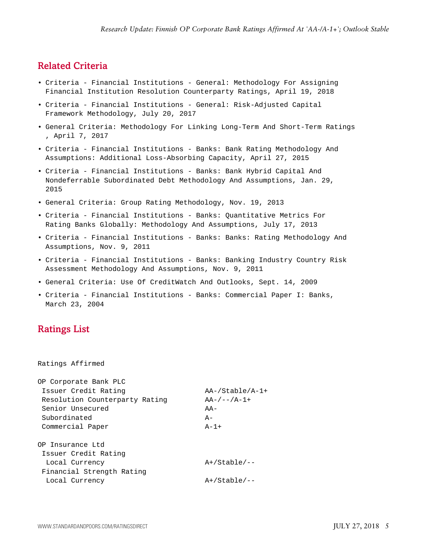#### <span id="page-4-0"></span>Related Criteria

- Criteria Financial Institutions General: Methodology For Assigning Financial Institution Resolution Counterparty Ratings, April 19, 2018
- Criteria Financial Institutions General: Risk-Adjusted Capital Framework Methodology, July 20, 2017
- General Criteria: Methodology For Linking Long-Term And Short-Term Ratings , April 7, 2017
- Criteria Financial Institutions Banks: Bank Rating Methodology And Assumptions: Additional Loss-Absorbing Capacity, April 27, 2015
- Criteria Financial Institutions Banks: Bank Hybrid Capital And Nondeferrable Subordinated Debt Methodology And Assumptions, Jan. 29, 2015
- General Criteria: Group Rating Methodology, Nov. 19, 2013
- Criteria Financial Institutions Banks: Quantitative Metrics For Rating Banks Globally: Methodology And Assumptions, July 17, 2013
- Criteria Financial Institutions Banks: Banks: Rating Methodology And Assumptions, Nov. 9, 2011
- Criteria Financial Institutions Banks: Banking Industry Country Risk Assessment Methodology And Assumptions, Nov. 9, 2011
- General Criteria: Use Of CreditWatch And Outlooks, Sept. 14, 2009
- Criteria Financial Institutions Banks: Commercial Paper I: Banks, March 23, 2004

#### <span id="page-4-1"></span>Ratings List

Ratings Affirmed

| OP Corporate Bank PLC          |                    |
|--------------------------------|--------------------|
| Issuer Credit Rating           | $AA$ -/Stable/A-1+ |
| Resolution Counterparty Rating | $AA-/--/A-1+$      |
| Senior Unsecured               | $A -$              |
| Subordinated                   | $A -$              |
| Commercial Paper               | $A-1+$             |
| OP Insurance Ltd               |                    |
| Issuer Credit Rating           |                    |
| Local Currency                 | $A+/Stable/--$     |
| Financial Strength Rating      |                    |
| Local Currency                 | $A+/Stable/--$     |
|                                |                    |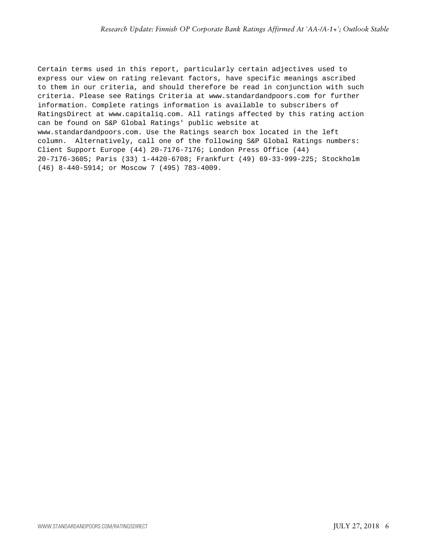Certain terms used in this report, particularly certain adjectives used to express our view on rating relevant factors, have specific meanings ascribed to them in our criteria, and should therefore be read in conjunction with such criteria. Please see Ratings Criteria at www.standardandpoors.com for further information. Complete ratings information is available to subscribers of RatingsDirect at www.capitaliq.com. All ratings affected by this rating action can be found on S&P Global Ratings' public website at www.standardandpoors.com. Use the Ratings search box located in the left column. Alternatively, call one of the following S&P Global Ratings numbers: Client Support Europe (44) 20-7176-7176; London Press Office (44) 20-7176-3605; Paris (33) 1-4420-6708; Frankfurt (49) 69-33-999-225; Stockholm (46) 8-440-5914; or Moscow 7 (495) 783-4009.